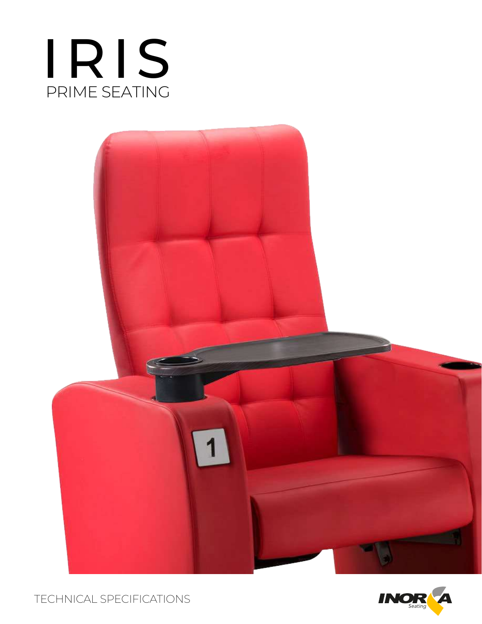





TECHNICAL SPECIFICATIONS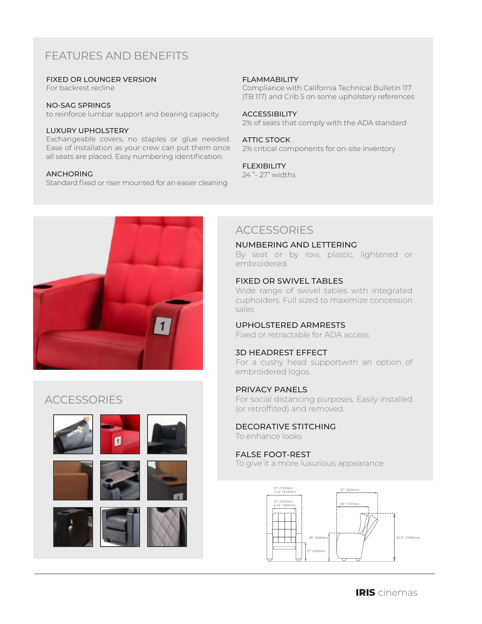# FEATURES AND BENEFITS

### FIXED OR LOUNGER VERSION

For backrest recline

#### NO-SAG SPRINGS

to reinforce lumbar support and bearing capacity.

### LUXURY UPHOLSTERY

Exchangeable covers, no staples or glue needed. Ease of installation as your crew can put them once all seats are placed. Easy numbering identification.

## ANCHORING

Standard fixed or riser mounted for an easier cleaning

### FLAMMABILITY

Compliance with California Technical Bulletin 117 (TB 117) and Crib 5 on some upholstery references

#### ACCESSIBILITY

2% of seats that comply with the ADA standard

### ATTIC STOCK

2% critical components for on-site inventory

### FLEXIBILITY

24 "- 27" widths



# **ACCESSORIES**











# **ACCESSORIES**

#### NUMBERING AND LETTERING

By seat or by row, plastic, lightened or embroidered.

### FIXED OR SWIVEL TABLES

Wide range of swivel tables with integrated cupholders. Full sized to maximize concession sales

## UPHOLSTERED ARMRESTS

Fixed or retractable for ADA access

## 3D HEADREST EFFECT

For a cushy head supportwith an option of embroidered logos.

## PRIVACY PANELS

For social distancing purposes. Easily installed (or retroffited) and removed.

#### DECORATIVE STITCHING To enhance looks

## FALSE FOOT-REST

To give it a more luxurious appearance

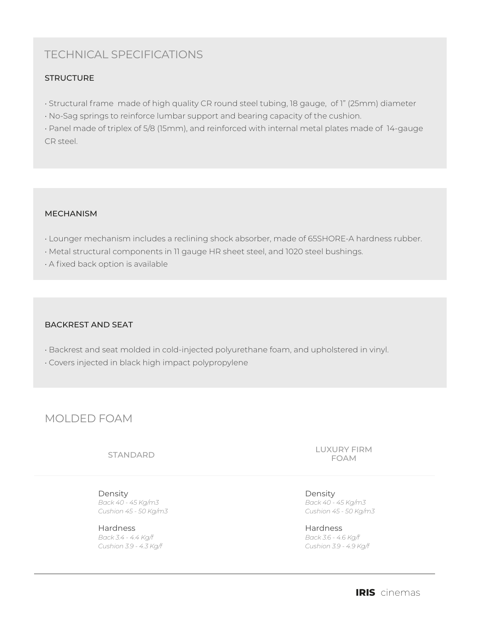# TECHNICAL SPECIFICATIONS

## **STRUCTURE**

- Structural frame made of high quality CR round steel tubing, 18 gauge, of 1" (25mm) diameter
- No-Sag springs to reinforce lumbar support and bearing capacity of the cushion.

• Panel made of triplex of 5/8 (15mm), and reinforced with internal metal plates made of 14-gauge CR steel.

## MECHANISM

- Lounger mechanism includes a reclining shock absorber, made of 65SHORE-A hardness rubber.
- Metal structural components in 11 gauge HR sheet steel, and 1020 steel bushings.
- A fixed back option is available

## BACKREST AND SEAT

- Backrest and seat molded in cold-injected polyurethane foam, and upholstered in vinyl.
- Covers injected in black high impact polypropylene

## MOLDED FOAM

Density *Back 40 - 45 Kg/m3 Cushion 45 - 50 Kg/m3*

Hardness *Back 3.4 - 4.4 Kg/f Cushion 3.9 - 4.3 Kg/f*

STANDARD LUXURY FIRM FOAM

> Density *Back 40 - 45 Kg/m3 Cushion 45 - 50 Kg/m3*

Hardness *Back 3.6 - 4.6 Kg/f Cushion 3.9 - 4.9 Kg/f*